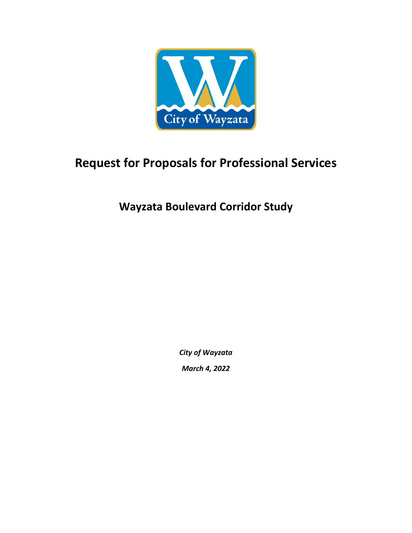

# **Request for Proposals for Professional Services**

**Wayzata Boulevard Corridor Study**

*City of Wayzata March 4, 2022*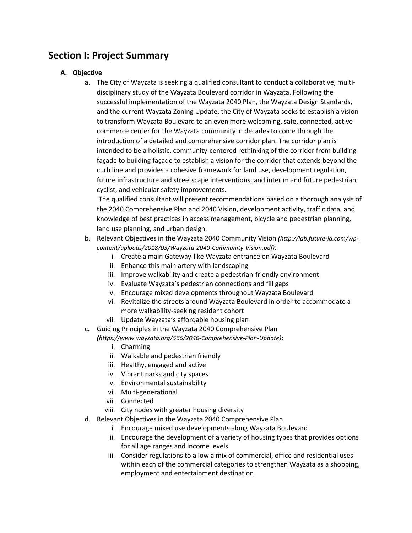# **Section I: Project Summary**

### **A. Objective**

a. The City of Wayzata is seeking a qualified consultant to conduct a collaborative, multidisciplinary study of the Wayzata Boulevard corridor in Wayzata. Following the successful implementation of the Wayzata 2040 Plan, the Wayzata Design Standards, and the current Wayzata Zoning Update, the City of Wayzata seeks to establish a vision to transform Wayzata Boulevard to an even more welcoming, safe, connected, active commerce center for the Wayzata community in decades to come through the introduction of a detailed and comprehensive corridor plan. The corridor plan is intended to be a holistic, community-centered rethinking of the corridor from building façade to building façade to establish a vision for the corridor that extends beyond the curb line and provides a cohesive framework for land use, development regulation, future infrastructure and streetscape interventions, and interim and future pedestrian, cyclist, and vehicular safety improvements.

The qualified consultant will present recommendations based on a thorough analysis of the 2040 Comprehensive Plan and 2040 Vision, development activity, traffic data, and knowledge of best practices in access management, bicycle and pedestrian planning, land use planning, and urban design.

- b. Relevant Objectives in the Wayzata 2040 Community Vision *([http://lab.future-iq.com/wp](http://lab.future-iq.com/wp-content/uploads/2018/03/Wayzata-2040-Community-Vision.pdf)[content/uploads/2018/03/Wayzata-2040-Community-Vision.pdf\)](http://lab.future-iq.com/wp-content/uploads/2018/03/Wayzata-2040-Community-Vision.pdf)*:
	- i. Create a main Gateway-like Wayzata entrance on Wayzata Boulevard
	- ii. Enhance this main artery with landscaping
	- iii. Improve walkability and create a pedestrian-friendly environment
	- iv. Evaluate Wayzata's pedestrian connections and fill gaps
	- v. Encourage mixed developments throughout Wayzata Boulevard
	- vi. Revitalize the streets around Wayzata Boulevard in order to accommodate a more walkability-seeking resident cohort
	- vii. Update Wayzata's affordable housing plan
- c. Guiding Principles in the Wayzata 2040 Comprehensive Plan

*([https://www.wayzata.org/566/2040-Comprehensive-Plan-Update\)](https://www.wayzata.org/566/2040-Comprehensive-Plan-Update)***:**

- i. Charming
- ii. Walkable and pedestrian friendly
- iii. Healthy, engaged and active
- iv. Vibrant parks and city spaces
- v. Environmental sustainability
- vi. Multi-generational
- vii. Connected
- viii. City nodes with greater housing diversity
- d. Relevant Objectives in the Wayzata 2040 Comprehensive Plan
	- i. Encourage mixed use developments along Wayzata Boulevard
	- ii. Encourage the development of a variety of housing types that provides options for all age ranges and income levels
	- iii. Consider regulations to allow a mix of commercial, office and residential uses within each of the commercial categories to strengthen Wayzata as a shopping, employment and entertainment destination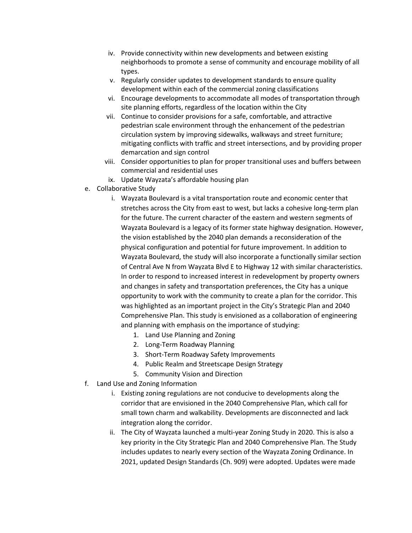- iv. Provide connectivity within new developments and between existing neighborhoods to promote a sense of community and encourage mobility of all types.
- v. Regularly consider updates to development standards to ensure quality development within each of the commercial zoning classifications
- vi. Encourage developments to accommodate all modes of transportation through site planning efforts, regardless of the location within the City
- vii. Continue to consider provisions for a safe, comfortable, and attractive pedestrian scale environment through the enhancement of the pedestrian circulation system by improving sidewalks, walkways and street furniture; mitigating conflicts with traffic and street intersections, and by providing proper demarcation and sign control
- viii. Consider opportunities to plan for proper transitional uses and buffers between commercial and residential uses
- ix. Update Wayzata's affordable housing plan
- e. Collaborative Study
	- i. Wayzata Boulevard is a vital transportation route and economic center that stretches across the City from east to west, but lacks a cohesive long-term plan for the future. The current character of the eastern and western segments of Wayzata Boulevard is a legacy of its former state highway designation. However, the vision established by the 2040 plan demands a reconsideration of the physical configuration and potential for future improvement. In addition to Wayzata Boulevard, the study will also incorporate a functionally similar section of Central Ave N from Wayzata Blvd E to Highway 12 with similar characteristics. In order to respond to increased interest in redevelopment by property owners and changes in safety and transportation preferences, the City has a unique opportunity to work with the community to create a plan for the corridor. This was highlighted as an important project in the City's Strategic Plan and 2040 Comprehensive Plan. This study is envisioned as a collaboration of engineering and planning with emphasis on the importance of studying:
		- 1. Land Use Planning and Zoning
		- 2. Long-Term Roadway Planning
		- 3. Short-Term Roadway Safety Improvements
		- 4. Public Realm and Streetscape Design Strategy
		- 5. Community Vision and Direction
- f. Land Use and Zoning Information
	- i. Existing zoning regulations are not conducive to developments along the corridor that are envisioned in the 2040 Comprehensive Plan, which call for small town charm and walkability. Developments are disconnected and lack integration along the corridor.
	- ii. The City of Wayzata launched a multi-year Zoning Study in 2020. This is also a key priority in the City Strategic Plan and 2040 Comprehensive Plan. The Study includes updates to nearly every section of the Wayzata Zoning Ordinance. In 2021, updated Design Standards (Ch. 909) were adopted. Updates were made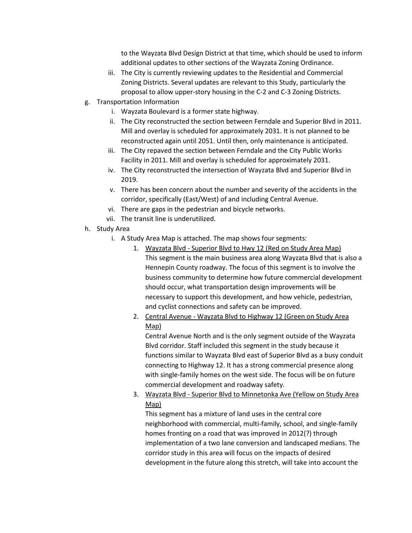to the Wayzata Blvd Design District at that time, which should be used to inform additional updates to other sections of the Wayzata Zoning Ordinance.

- iii. The City is currently reviewing updates to the Residential and Commercial Zoning Districts. Several updates are relevant to this Study, particularly the proposal to allow upper-story housing in the C-2 and C-3 Zoning Districts.
- g. Transportation Information
	- i. Wayzata Boulevard is a former state highway.
	- ii. The City reconstructed the section between Ferndale and Superior Blvd in 2011. Mill and overlay is scheduled for approximately 2031. It is not planned to be reconstructed again until 2051. Until then, only maintenance is anticipated.
	- iii. The City repaved the section between Ferndale and the City Public Works Facility in 2011. Mill and overlay is scheduled for approximately 2031.
	- iv. The City reconstructed the intersection of Wayzata Blvd and Superior Blvd in 2019.
	- v. There has been concern about the number and severity of the accidents in the corridor, specifically (East/West) of and including Central Avenue.
	- vi. There are gaps in the pedestrian and bicycle networks.
	- vii. The transit line is underutilized.
- h. Study Area
	- i. A Study Area Map is attached. The map shows four segments:
		- 1. Wayzata Blvd Superior Blvd to Hwy 12 (Red on Study Area Map) This segment is the main business area along Wayzata Blvd that is also a Hennepin County roadway. The focus of this segment is to involve the business community to determine how future commercial development should occur, what transportation design improvements will be necessary to support this development, and how vehicle, pedestrian, and cyclist connections and safety can be improved.
		- 2. Central Avenue Wayzata Blvd to Highway 12 (Green on Study Area Map)

Central Avenue North and is the only segment outside of the Wayzata Blvd corridor. Staff included this segment in the study because it functions similar to Wayzata Blvd east of Superior Blvd as a busy conduit connecting to Highway 12. It has a strong commercial presence along with single-family homes on the west side. The focus will be on future commercial development and roadway safety.

3. Wayzata Blvd - Superior Blvd to Minnetonka Ave (Yellow on Study Area Map)

This segment has a mixture of land uses in the central core neighborhood with commercial, multi-family, school, and single-family homes fronting on a road that was improved in 2012(?) through implementation of a two lane conversion and landscaped medians. The corridor study in this area will focus on the impacts of desired development in the future along this stretch, will take into account the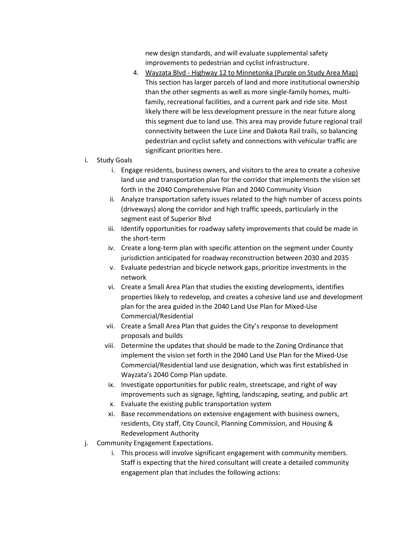new design standards, and will evaluate supplemental safety improvements to pedestrian and cyclist infrastructure.

4. Wayzata Blvd - Highway 12 to Minnetonka (Purple on Study Area Map) This section has larger parcels of land and more institutional ownership than the other segments as well as more single-family homes, multifamily, recreational facilities, and a current park and ride site. Most likely there will be less development pressure in the near future along this segment due to land use. This area may provide future regional trail connectivity between the Luce Line and Dakota Rail trails, so balancing pedestrian and cyclist safety and connections with vehicular traffic are significant priorities here.

### i. Study Goals

- i. Engage residents, business owners, and visitors to the area to create a cohesive land use and transportation plan for the corridor that implements the vision set forth in the 2040 Comprehensive Plan and 2040 Community Vision
- ii. Analyze transportation safety issues related to the high number of access points (driveways) along the corridor and high traffic speeds, particularly in the segment east of Superior Blvd
- iii. Identify opportunities for roadway safety improvements that could be made in the short-term
- iv. Create a long-term plan with specific attention on the segment under County jurisdiction anticipated for roadway reconstruction between 2030 and 2035
- v. Evaluate pedestrian and bicycle network gaps, prioritize investments in the network
- vi. Create a Small Area Plan that studies the existing developments, identifies properties likely to redevelop, and creates a cohesive land use and development plan for the area guided in the 2040 Land Use Plan for Mixed-Use Commercial/Residential
- vii. Create a Small Area Plan that guides the City's response to development proposals and builds
- viii. Determine the updates that should be made to the Zoning Ordinance that implement the vision set forth in the 2040 Land Use Plan for the Mixed-Use Commercial/Residential land use designation, which was first established in Wayzata's 2040 Comp Plan update.
- ix. Investigate opportunities for public realm, streetscape, and right of way improvements such as signage, lighting, landscaping, seating, and public art
- x. Evaluate the existing public transportation system
- xi. Base recommendations on extensive engagement with business owners, residents, City staff, City Council, Planning Commission, and Housing & Redevelopment Authority
- j. Community Engagement Expectations.
	- i. This process will involve significant engagement with community members. Staff is expecting that the hired consultant will create a detailed community engagement plan that includes the following actions: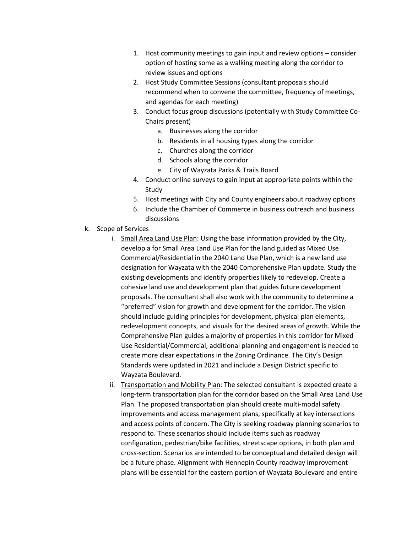- 1. Host community meetings to gain input and review options consider option of hosting some as a walking meeting along the corridor to review issues and options
- 2. Host Study Committee Sessions (consultant proposals should recommend when to convene the committee, frequency of meetings, and agendas for each meeting)
- 3. Conduct focus group discussions (potentially with Study Committee Co-Chairs present)
	- a. Businesses along the corridor
	- b. Residents in all housing types along the corridor
	- c. Churches along the corridor
	- d. Schools along the corridor
	- e. City of Wayzata Parks & Trails Board
- 4. Conduct online surveys to gain input at appropriate points within the Study
- 5. Host meetings with City and County engineers about roadway options
- 6. Include the Chamber of Commerce in business outreach and business discussions
- k. Scope of Services
	- i. Small Area Land Use Plan: Using the base information provided by the City, develop a for Small Area Land Use Plan for the land guided as Mixed Use Commercial/Residential in the 2040 Land Use Plan, which is a new land use designation for Wayzata with the 2040 Comprehensive Plan update. Study the existing developments and identify properties likely to redevelop. Create a cohesive land use and development plan that guides future development proposals. The consultant shall also work with the community to determine a "preferred" vision for growth and development for the corridor. The vision should include guiding principles for development, physical plan elements, redevelopment concepts, and visuals for the desired areas of growth. While the Comprehensive Plan guides a majority of properties in this corridor for Mixed Use Residential/Commercial, additional planning and engagement is needed to create more clear expectations in the Zoning Ordinance. The City's Design Standards were updated in 2021 and include a Design District specific to Wayzata Boulevard.
	- ii. Transportation and Mobility Plan: The selected consultant is expected create a long-term transportation plan for the corridor based on the Small Area Land Use Plan. The proposed transportation plan should create multi-modal safety improvements and access management plans, specifically at key intersections and access points of concern. The City is seeking roadway planning scenarios to respond to. These scenarios should include items such as roadway configuration, pedestrian/bike facilities, streetscape options, in both plan and cross-section. Scenarios are intended to be conceptual and detailed design will be a future phase. Alignment with Hennepin County roadway improvement plans will be essential for the eastern portion of Wayzata Boulevard and entire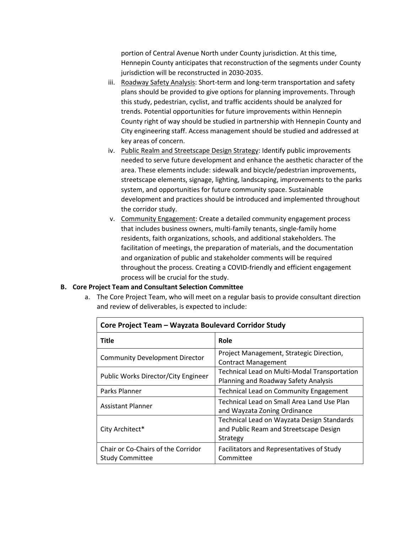portion of Central Avenue North under County jurisdiction. At this time, Hennepin County anticipates that reconstruction of the segments under County jurisdiction will be reconstructed in 2030-2035.

- iii. Roadway Safety Analysis: Short-term and long-term transportation and safety plans should be provided to give options for planning improvements. Through this study, pedestrian, cyclist, and traffic accidents should be analyzed for trends. Potential opportunities for future improvements within Hennepin County right of way should be studied in partnership with Hennepin County and City engineering staff. Access management should be studied and addressed at key areas of concern.
- iv. Public Realm and Streetscape Design Strategy: Identify public improvements needed to serve future development and enhance the aesthetic character of the area. These elements include: sidewalk and bicycle/pedestrian improvements, streetscape elements, signage, lighting, landscaping, improvements to the parks system, and opportunities for future community space. Sustainable development and practices should be introduced and implemented throughout the corridor study.
- v. Community Engagement: Create a detailed community engagement process that includes business owners, multi-family tenants, single-family home residents, faith organizations, schools, and additional stakeholders. The facilitation of meetings, the preparation of materials, and the documentation and organization of public and stakeholder comments will be required throughout the process. Creating a COVID-friendly and efficient engagement process will be crucial for the study.

#### **B. Core Project Team and Consultant Selection Committee**

a. The Core Project Team, who will meet on a regular basis to provide consultant direction and review of deliverables, is expected to include:

| Core Project Team - Wayzata Boulevard Corridor Study         |                                                                                                  |  |
|--------------------------------------------------------------|--------------------------------------------------------------------------------------------------|--|
| <b>Title</b>                                                 | Role                                                                                             |  |
| <b>Community Development Director</b>                        | Project Management, Strategic Direction,<br><b>Contract Management</b>                           |  |
| Public Works Director/City Engineer                          | Technical Lead on Multi-Modal Transportation<br>Planning and Roadway Safety Analysis             |  |
| Parks Planner                                                | <b>Technical Lead on Community Engagement</b>                                                    |  |
| <b>Assistant Planner</b>                                     | Technical Lead on Small Area Land Use Plan<br>and Wayzata Zoning Ordinance                       |  |
| City Architect*                                              | Technical Lead on Wayzata Design Standards<br>and Public Ream and Streetscape Design<br>Strategy |  |
| Chair or Co-Chairs of the Corridor<br><b>Study Committee</b> | Facilitators and Representatives of Study<br>Committee                                           |  |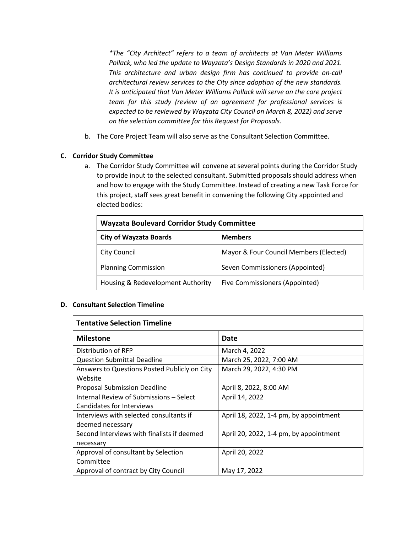*\*The "City Architect" refers to a team of architects at Van Meter Williams Pollack, who led the update to Wayzata's Design Standards in 2020 and 2021. This architecture and urban design firm has continued to provide on-call architectural review services to the City since adoption of the new standards. It is anticipated that Van Meter Williams Pollack will serve on the core project team for this study (review of an agreement for professional services is expected to be reviewed by Wayzata City Council on March 8, 2022) and serve on the selection committee for this Request for Proposals.*

b. The Core Project Team will also serve as the Consultant Selection Committee.

### **C. Corridor Study Committee**

a. The Corridor Study Committee will convene at several points during the Corridor Study to provide input to the selected consultant. Submitted proposals should address when and how to engage with the Study Committee. Instead of creating a new Task Force for this project, staff sees great benefit in convening the following City appointed and elected bodies:

| <b>Wayzata Boulevard Corridor Study Committee</b> |                                        |  |
|---------------------------------------------------|----------------------------------------|--|
| <b>City of Wayzata Boards</b>                     | <b>Members</b>                         |  |
| <b>City Council</b>                               | Mayor & Four Council Members (Elected) |  |
| <b>Planning Commission</b>                        | Seven Commissioners (Appointed)        |  |
| Housing & Redevelopment Authority                 | Five Commissioners (Appointed)         |  |

#### **D. Consultant Selection Timeline**

| <b>Tentative Selection Timeline</b>                                  |                                        |  |
|----------------------------------------------------------------------|----------------------------------------|--|
| <b>Milestone</b>                                                     | Date                                   |  |
| Distribution of RFP                                                  | March 4, 2022                          |  |
| <b>Question Submittal Deadline</b>                                   | March 25, 2022, 7:00 AM                |  |
| Answers to Questions Posted Publicly on City<br>Website              | March 29, 2022, 4:30 PM                |  |
| <b>Proposal Submission Deadline</b>                                  | April 8, 2022, 8:00 AM                 |  |
| Internal Review of Submissions - Select<br>Candidates for Interviews | April 14, 2022                         |  |
| Interviews with selected consultants if<br>deemed necessary          | April 18, 2022, 1-4 pm, by appointment |  |
| Second Interviews with finalists if deemed<br>necessary              | April 20, 2022, 1-4 pm, by appointment |  |
| Approval of consultant by Selection<br>Committee                     | April 20, 2022                         |  |
| Approval of contract by City Council                                 | May 17, 2022                           |  |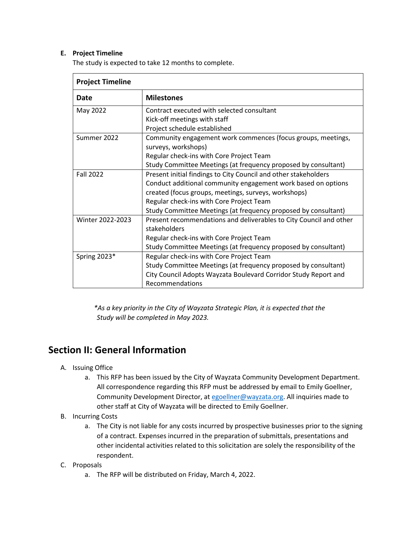### **E. Project Timeline**

The study is expected to take 12 months to complete.

| <b>Project Timeline</b> |                                                                    |  |
|-------------------------|--------------------------------------------------------------------|--|
| Date                    | <b>Milestones</b>                                                  |  |
| May 2022                | Contract executed with selected consultant                         |  |
|                         | Kick-off meetings with staff                                       |  |
|                         | Project schedule established                                       |  |
| Summer 2022             | Community engagement work commences (focus groups, meetings,       |  |
|                         | surveys, workshops)                                                |  |
|                         | Regular check-ins with Core Project Team                           |  |
|                         | Study Committee Meetings (at frequency proposed by consultant)     |  |
| <b>Fall 2022</b>        | Present initial findings to City Council and other stakeholders    |  |
|                         | Conduct additional community engagement work based on options      |  |
|                         | created (focus groups, meetings, surveys, workshops)               |  |
|                         | Regular check-ins with Core Project Team                           |  |
|                         | Study Committee Meetings (at frequency proposed by consultant)     |  |
| Winter 2022-2023        | Present recommendations and deliverables to City Council and other |  |
|                         | stakeholders                                                       |  |
|                         | Regular check-ins with Core Project Team                           |  |
|                         | Study Committee Meetings (at frequency proposed by consultant)     |  |
| Spring 2023*            | Regular check-ins with Core Project Team                           |  |
|                         | Study Committee Meetings (at frequency proposed by consultant)     |  |
|                         | City Council Adopts Wayzata Boulevard Corridor Study Report and    |  |
|                         | Recommendations                                                    |  |

*\*As a key priority in the City of Wayzata Strategic Plan, it is expected that the Study will be completed in May 2023.*

### **Section II: General Information**

- A. Issuing Office
	- a. This RFP has been issued by the City of Wayzata Community Development Department. All correspondence regarding this RFP must be addressed by email to Emily Goellner, Community Development Director, a[t egoellner@wayzata.org.](mailto:egoellner@wayzata.org) All inquiries made to other staff at City of Wayzata will be directed to Emily Goellner.
- B. Incurring Costs
	- a. The City is not liable for any costs incurred by prospective businesses prior to the signing of a contract. Expenses incurred in the preparation of submittals, presentations and other incidental activities related to this solicitation are solely the responsibility of the respondent.
- C. Proposals
	- a. The RFP will be distributed on Friday, March 4, 2022.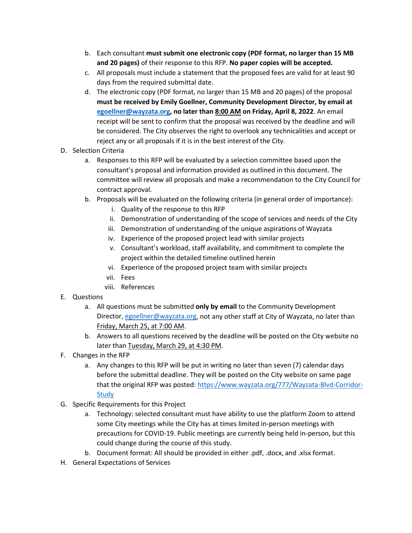- b. Each consultant **must submit one electronic copy (PDF format, no larger than 15 MB and 20 pages)** of their response to this RFP. **No paper copies will be accepted.**
- c. All proposals must include a statement that the proposed fees are valid for at least 90 days from the required submittal date.
- d. The electronic copy (PDF format, no larger than 15 MB and 20 pages) of the proposal **must be received by Emily Goellner, Community Development Director, by email at [egoellner@wayzata.org,](mailto:egoellner@wayzata.org) no later than 8:00 AM on Friday, April 8, 2022**. An email receipt will be sent to confirm that the proposal was received by the deadline and will be considered. The City observes the right to overlook any technicalities and accept or reject any or all proposals if it is in the best interest of the City.
- D. Selection Criteria
	- a. Responses to this RFP will be evaluated by a selection committee based upon the consultant's proposal and information provided as outlined in this document. The committee will review all proposals and make a recommendation to the City Council for contract approval.
	- b. Proposals will be evaluated on the following criteria (in general order of importance):
		- i. Quality of the response to this RFP
		- ii. Demonstration of understanding of the scope of services and needs of the City
		- iii. Demonstration of understanding of the unique aspirations of Wayzata
		- iv. Experience of the proposed project lead with similar projects
		- v. Consultant's workload, staff availability, and commitment to complete the project within the detailed timeline outlined herein
		- vi. Experience of the proposed project team with similar projects
		- vii. Fees
		- viii. References
- E. Questions
	- a. All questions must be submitted **only by email** to the Community Development Director, [egoellner@wayzata.org,](mailto:egoellner@wayzata.org) not any other staff at City of Wayzata, no later than Friday, March 25, at 7:00 AM.
	- b. Answers to all questions received by the deadline will be posted on the City website no later than Tuesday, March 29, at 4:30 PM.
- F. Changes in the RFP
	- a. Any changes to this RFP will be put in writing no later than seven (7) calendar days before the submittal deadline. They will be posted on the City website on same page that the original RFP was posted[: https://www.wayzata.org/777/Wayzata-Blvd-Corridor-](https://www.wayzata.org/777/Wayzata-Blvd-Corridor-Study)**[Study](https://www.wayzata.org/777/Wayzata-Blvd-Corridor-Study)**
- G. Specific Requirements for this Project
	- a. Technology: selected consultant must have ability to use the platform Zoom to attend some City meetings while the City has at times limited in-person meetings with precautions for COVID-19. Public meetings are currently being held in-person, but this could change during the course of this study.
	- b. Document format: All should be provided in either .pdf, .docx, and .xlsx format.
- H. General Expectations of Services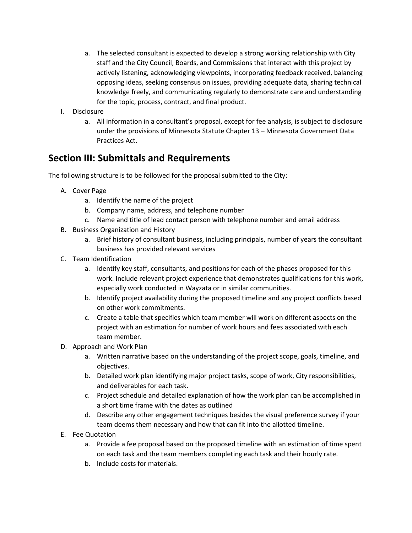- a. The selected consultant is expected to develop a strong working relationship with City staff and the City Council, Boards, and Commissions that interact with this project by actively listening, acknowledging viewpoints, incorporating feedback received, balancing opposing ideas, seeking consensus on issues, providing adequate data, sharing technical knowledge freely, and communicating regularly to demonstrate care and understanding for the topic, process, contract, and final product.
- I. Disclosure
	- a. All information in a consultant's proposal, except for fee analysis, is subject to disclosure under the provisions of Minnesota Statute Chapter 13 – Minnesota Government Data Practices Act.

# **Section III: Submittals and Requirements**

The following structure is to be followed for the proposal submitted to the City:

- A. Cover Page
	- a. Identify the name of the project
	- b. Company name, address, and telephone number
	- c. Name and title of lead contact person with telephone number and email address
- B. Business Organization and History
	- a. Brief history of consultant business, including principals, number of years the consultant business has provided relevant services
- C. Team Identification
	- a. Identify key staff, consultants, and positions for each of the phases proposed for this work. Include relevant project experience that demonstrates qualifications for this work, especially work conducted in Wayzata or in similar communities.
	- b. Identify project availability during the proposed timeline and any project conflicts based on other work commitments.
	- c. Create a table that specifies which team member will work on different aspects on the project with an estimation for number of work hours and fees associated with each team member.
- D. Approach and Work Plan
	- a. Written narrative based on the understanding of the project scope, goals, timeline, and objectives.
	- b. Detailed work plan identifying major project tasks, scope of work, City responsibilities, and deliverables for each task.
	- c. Project schedule and detailed explanation of how the work plan can be accomplished in a short time frame with the dates as outlined
	- d. Describe any other engagement techniques besides the visual preference survey if your team deems them necessary and how that can fit into the allotted timeline.
- E. Fee Quotation
	- a. Provide a fee proposal based on the proposed timeline with an estimation of time spent on each task and the team members completing each task and their hourly rate.
	- b. Include costs for materials.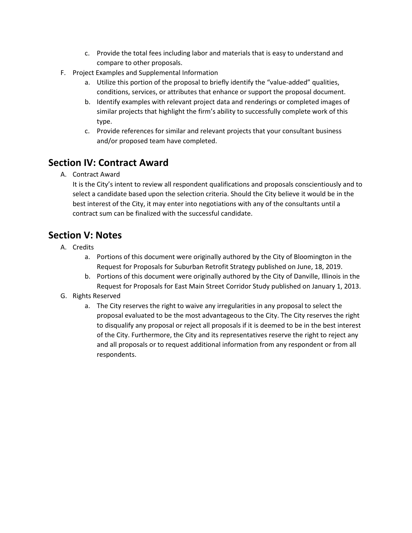- c. Provide the total fees including labor and materials that is easy to understand and compare to other proposals.
- F. Project Examples and Supplemental Information
	- a. Utilize this portion of the proposal to briefly identify the "value-added" qualities, conditions, services, or attributes that enhance or support the proposal document.
	- b. Identify examples with relevant project data and renderings or completed images of similar projects that highlight the firm's ability to successfully complete work of this type.
	- c. Provide references for similar and relevant projects that your consultant business and/or proposed team have completed.

# **Section IV: Contract Award**

A. Contract Award

It is the City's intent to review all respondent qualifications and proposals conscientiously and to select a candidate based upon the selection criteria. Should the City believe it would be in the best interest of the City, it may enter into negotiations with any of the consultants until a contract sum can be finalized with the successful candidate.

# **Section V: Notes**

- A. Credits
	- a. Portions of this document were originally authored by the City of Bloomington in the Request for Proposals for Suburban Retrofit Strategy published on June, 18, 2019.
	- b. Portions of this document were originally authored by the City of Danville, Illinois in the Request for Proposals for East Main Street Corridor Study published on January 1, 2013.
- G. Rights Reserved
	- a. The City reserves the right to waive any irregularities in any proposal to select the proposal evaluated to be the most advantageous to the City. The City reserves the right to disqualify any proposal or reject all proposals if it is deemed to be in the best interest of the City. Furthermore, the City and its representatives reserve the right to reject any and all proposals or to request additional information from any respondent or from all respondents.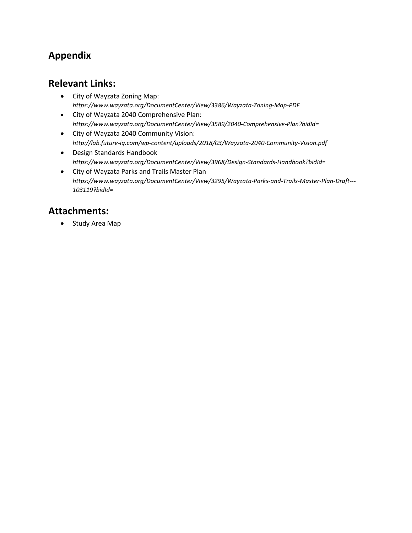# **Appendix**

### **Relevant Links:**

- City of Wayzata Zoning Map: *<https://www.wayzata.org/DocumentCenter/View/3386/Wayzata-Zoning-Map-PDF>*
- City of Wayzata 2040 Comprehensive Plan: *<https://www.wayzata.org/DocumentCenter/View/3589/2040-Comprehensive-Plan?bidId=>*
- City of Wayzata 2040 Community Vision: *<http://lab.future-iq.com/wp-content/uploads/2018/03/Wayzata-2040-Community-Vision.pdf>*
- Design Standards Handbook *[https://www.wayzata.org/DocumentCenter/View/3968/Design-Standards-Handbook?bidId=](https://www.wayzata.org/DocumentCenter/View/3968/Design-Standards-Handbook?bidId)*
- City of Wayzata Parks and Trails Master Plan *[https://www.wayzata.org/DocumentCenter/View/3295/Wayzata-Parks-and-Trails-Master-Plan-Draft---](https://www.wayzata.org/DocumentCenter/View/3295/Wayzata-Parks-and-Trails-Master-Plan-Draft---103119?bidId) [103119?bidId=](https://www.wayzata.org/DocumentCenter/View/3295/Wayzata-Parks-and-Trails-Master-Plan-Draft---103119?bidId)*

# **Attachments:**

• Study Area Map